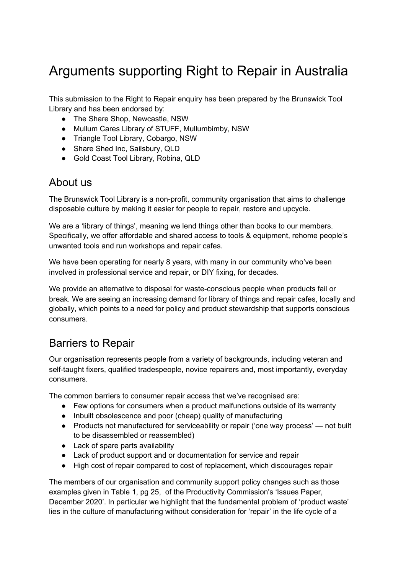# Arguments supporting Right to Repair in Australia

This submission to the Right to Repair enquiry has been prepared by the Brunswick Tool Library and has been endorsed by:

- The Share Shop, Newcastle, NSW
- Mullum Cares Library of STUFF, Mullumbimby, NSW
- Triangle Tool Library, Cobargo, NSW
- Share Shed Inc, Sailsbury, QLD
- Gold Coast Tool Library, Robina, QLD

### About us

The Brunswick Tool Library is a non-profit, community organisation that aims to challenge disposable culture by making it easier for people to repair, restore and upcycle.

We are a 'library of things', meaning we lend things other than books to our members. Specifically, we offer affordable and shared access to tools & equipment, rehome people's unwanted tools and run workshops and repair cafes.

We have been operating for nearly 8 years, with many in our community who've been involved in professional service and repair, or DIY fixing, for decades.

We provide an alternative to disposal for waste-conscious people when products fail or break. We are seeing an increasing demand for library of things and repair cafes, locally and globally, which points to a need for policy and product stewardship that supports conscious consumers.

## Barriers to Repair

Our organisation represents people from a variety of backgrounds, including veteran and self-taught fixers, qualified tradespeople, novice repairers and, most importantly, everyday consumers.

The common barriers to consumer repair access that we've recognised are:

- Few options for consumers when a product malfunctions outside of its warranty
- Inbuilt obsolescence and poor (cheap) quality of manufacturing
- Products not manufactured for serviceability or repair ('one way process' not built to be disassembled or reassembled)
- Lack of spare parts availability
- Lack of product support and or documentation for service and repair
- High cost of repair compared to cost of replacement, which discourages repair

The members of our organisation and community support policy changes such as those examples given in Table 1, pg 25, of the Productivity Commission's 'Issues Paper, December 2020'. In particular we highlight that the fundamental problem of 'product waste' lies in the culture of manufacturing without consideration for 'repair' in the life cycle of a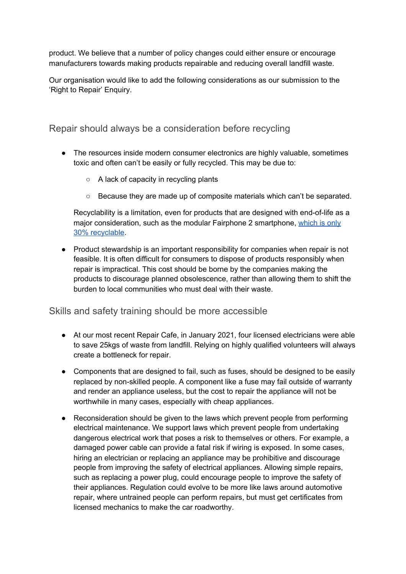product. We believe that a number of policy changes could either ensure or encourage manufacturers towards making products repairable and reducing overall landfill waste.

Our organisation would like to add the following considerations as our submission to the 'Right to Repair' Enquiry.

Repair should always be a consideration before recycling

- The resources inside modern consumer electronics are highly valuable, sometimes toxic and often can't be easily or fully recycled. This may be due to:
	- A lack of capacity in recycling plants
	- Because they are made up of composite materials which can't be separated.

Recyclability is a limitation, even for products that are designed with end-of-life as a major consideration, such as the modular Fairphone 2 smartphone, [which](https://www.researchgate.net/publication/323855448_Limits_of_the_Circular_Economy_Fairphone_Modular_Design_Pushing_the_Limits) is only 30% [recyclable](https://www.researchgate.net/publication/323855448_Limits_of_the_Circular_Economy_Fairphone_Modular_Design_Pushing_the_Limits).

● Product stewardship is an important responsibility for companies when repair is not feasible. It is often difficult for consumers to dispose of products responsibly when repair is impractical. This cost should be borne by the companies making the products to discourage planned obsolescence, rather than allowing them to shift the burden to local communities who must deal with their waste.

#### Skills and safety training should be more accessible

- At our most recent Repair Cafe, in January 2021, four licensed electricians were able to save 25kgs of waste from landfill. Relying on highly qualified volunteers will always create a bottleneck for repair.
- Components that are designed to fail, such as fuses, should be designed to be easily replaced by non-skilled people. A component like a fuse may fail outside of warranty and render an appliance useless, but the cost to repair the appliance will not be worthwhile in many cases, especially with cheap appliances.
- Reconsideration should be given to the laws which prevent people from performing electrical maintenance. We support laws which prevent people from undertaking dangerous electrical work that poses a risk to themselves or others. For example, a damaged power cable can provide a fatal risk if wiring is exposed. In some cases, hiring an electrician or replacing an appliance may be prohibitive and discourage people from improving the safety of electrical appliances. Allowing simple repairs, such as replacing a power plug, could encourage people to improve the safety of their appliances. Regulation could evolve to be more like laws around automotive repair, where untrained people can perform repairs, but must get certificates from licensed mechanics to make the car roadworthy.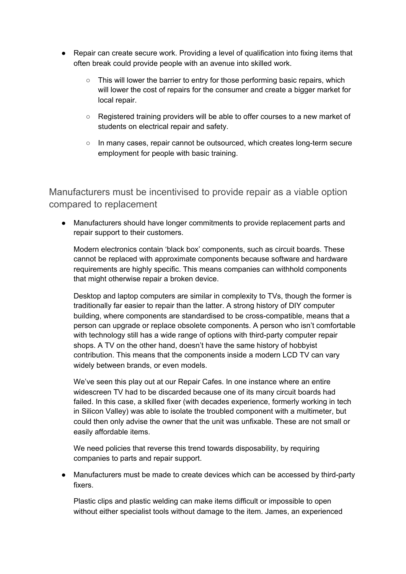- Repair can create secure work. Providing a level of qualification into fixing items that often break could provide people with an avenue into skilled work.
	- $\circ$  This will lower the barrier to entry for those performing basic repairs, which will lower the cost of repairs for the consumer and create a bigger market for local repair.
	- Registered training providers will be able to offer courses to a new market of students on electrical repair and safety.
	- In many cases, repair cannot be outsourced, which creates long-term secure employment for people with basic training.

Manufacturers must be incentivised to provide repair as a viable option compared to replacement

● Manufacturers should have longer commitments to provide replacement parts and repair support to their customers.

Modern electronics contain 'black box' components, such as circuit boards. These cannot be replaced with approximate components because software and hardware requirements are highly specific. This means companies can withhold components that might otherwise repair a broken device.

Desktop and laptop computers are similar in complexity to TVs, though the former is traditionally far easier to repair than the latter. A strong history of DIY computer building, where components are standardised to be cross-compatible, means that a person can upgrade or replace obsolete components. A person who isn't comfortable with technology still has a wide range of options with third-party computer repair shops. A TV on the other hand, doesn't have the same history of hobbyist contribution. This means that the components inside a modern LCD TV can vary widely between brands, or even models.

We've seen this play out at our Repair Cafes. In one instance where an entire widescreen TV had to be discarded because one of its many circuit boards had failed. In this case, a skilled fixer (with decades experience, formerly working in tech in Silicon Valley) was able to isolate the troubled component with a multimeter, but could then only advise the owner that the unit was unfixable. These are not small or easily affordable items.

We need policies that reverse this trend towards disposability, by requiring companies to parts and repair support.

Manufacturers must be made to create devices which can be accessed by third-party fixers.

Plastic clips and plastic welding can make items difficult or impossible to open without either specialist tools without damage to the item. James, an experienced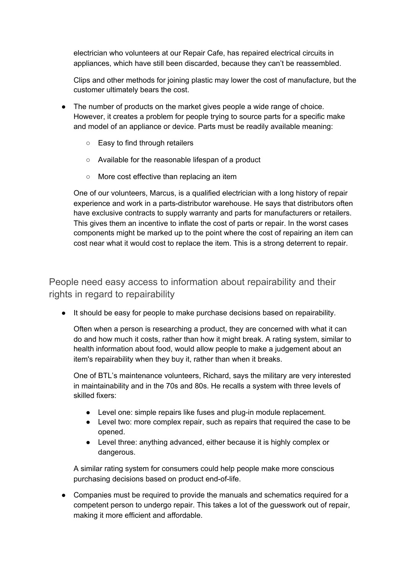electrician who volunteers at our Repair Cafe, has repaired electrical circuits in appliances, which have still been discarded, because they can't be reassembled.

Clips and other methods for joining plastic may lower the cost of manufacture, but the customer ultimately bears the cost.

- The number of products on the market gives people a wide range of choice. However, it creates a problem for people trying to source parts for a specific make and model of an appliance or device. Parts must be readily available meaning:
	- Easy to find through retailers
	- Available for the reasonable lifespan of a product
	- More cost effective than replacing an item

One of our volunteers, Marcus, is a qualified electrician with a long history of repair experience and work in a parts-distributor warehouse. He says that distributors often have exclusive contracts to supply warranty and parts for manufacturers or retailers. This gives them an incentive to inflate the cost of parts or repair. In the worst cases components might be marked up to the point where the cost of repairing an item can cost near what it would cost to replace the item. This is a strong deterrent to repair.

#### People need easy access to information about repairability and their rights in regard to repairability

● It should be easy for people to make purchase decisions based on repairability.

Often when a person is researching a product, they are concerned with what it can do and how much it costs, rather than how it might break. A rating system, similar to health information about food, would allow people to make a judgement about an item's repairability when they buy it, rather than when it breaks.

One of BTL's maintenance volunteers, Richard, says the military are very interested in maintainability and in the 70s and 80s. He recalls a system with three levels of skilled fixers:

- Level one: simple repairs like fuses and plug-in module replacement.
- Level two: more complex repair, such as repairs that required the case to be opened.
- Level three: anything advanced, either because it is highly complex or dangerous.

A similar rating system for consumers could help people make more conscious purchasing decisions based on product end-of-life.

● Companies must be required to provide the manuals and schematics required for a competent person to undergo repair. This takes a lot of the guesswork out of repair, making it more efficient and affordable.